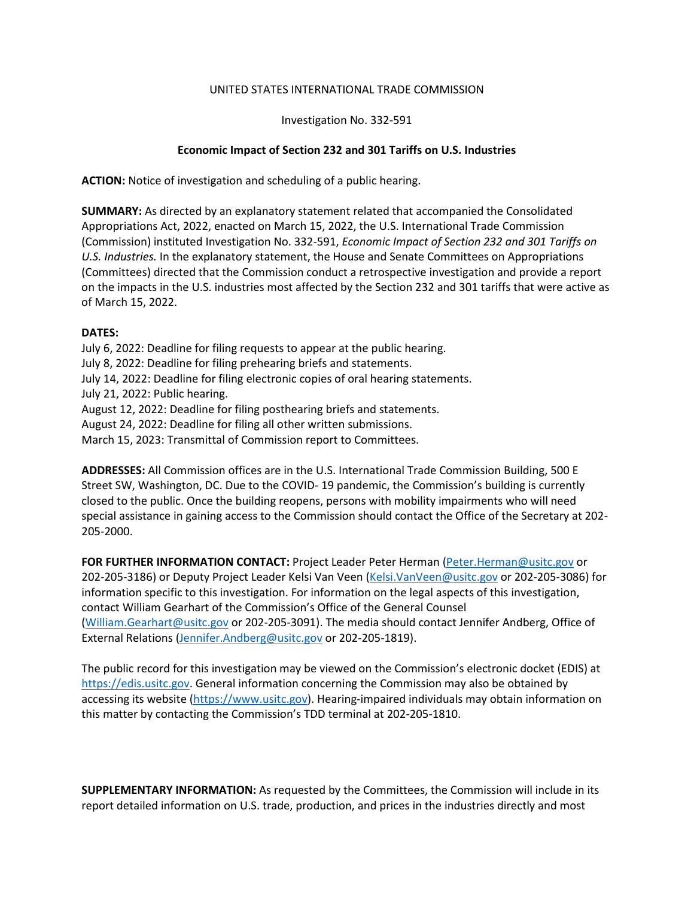## UNITED STATES INTERNATIONAL TRADE COMMISSION

Investigation No. 332-591

## **Economic Impact of Section 232 and 301 Tariffs on U.S. Industries**

**ACTION:** Notice of investigation and scheduling of a public hearing.

**SUMMARY:** As directed by an explanatory statement related that accompanied the Consolidated Appropriations Act, 2022, enacted on March 15, 2022, the U.S. International Trade Commission (Commission) instituted Investigation No. 332-591, *Economic Impact of Section 232 and 301 Tariffs on U.S. Industries.* In the explanatory statement, the House and Senate Committees on Appropriations (Committees) directed that the Commission conduct a retrospective investigation and provide a report on the impacts in the U.S. industries most affected by the Section 232 and 301 tariffs that were active as of March 15, 2022.

## **DATES:**

July 6, 2022: Deadline for filing requests to appear at the public hearing. July 8, 2022: Deadline for filing prehearing briefs and statements. July 14, 2022: Deadline for filing electronic copies of oral hearing statements. July 21, 2022: Public hearing. August 12, 2022: Deadline for filing posthearing briefs and statements. August 24, 2022: Deadline for filing all other written submissions.

March 15, 2023: Transmittal of Commission report to Committees.

**ADDRESSES:** All Commission offices are in the U.S. International Trade Commission Building, 500 E Street SW, Washington, DC. Due to the COVID- 19 pandemic, the Commission's building is currently closed to the public. Once the building reopens, persons with mobility impairments who will need special assistance in gaining access to the Commission should contact the Office of the Secretary at 202- 205-2000.

**FOR FURTHER INFORMATION CONTACT:** Project Leader Peter Herman [\(Peter.Herman@usitc.gov](mailto:Peter.Herman@usitc.gov) or 202-205-3186) or Deputy Project Leader Kelsi Van Veen [\(Kelsi.VanVeen@usitc.gov](mailto:samantha.schreiber@usitc.gov) or 202-205-3086) for information specific to this investigation. For information on the legal aspects of this investigation, contact William Gearhart of the Commission's Office of the General Counsel [\(William.Gearhart@usitc.gov](mailto:William.Gearhart@usitc.gov) or 202-205-3091). The media should contact Jennifer Andberg, Office of External Relations [\(Jennifer.Andberg@usitc.gov](mailto:Jennifer.Andberg@usitc.gov) or 202-205-1819).

The public record for this investigation may be viewed on the Commission's electronic docket (EDIS) at [https://edis.usitc.gov.](https://edis.usitc.gov/) General information concerning the Commission may also be obtained by accessing its website [\(https://www.usitc.gov\)](https://www.usitc.gov/). Hearing-impaired individuals may obtain information on this matter by contacting the Commission's TDD terminal at 202-205-1810.

**SUPPLEMENTARY INFORMATION:** As requested by the Committees, the Commission will include in its report detailed information on U.S. trade, production, and prices in the industries directly and most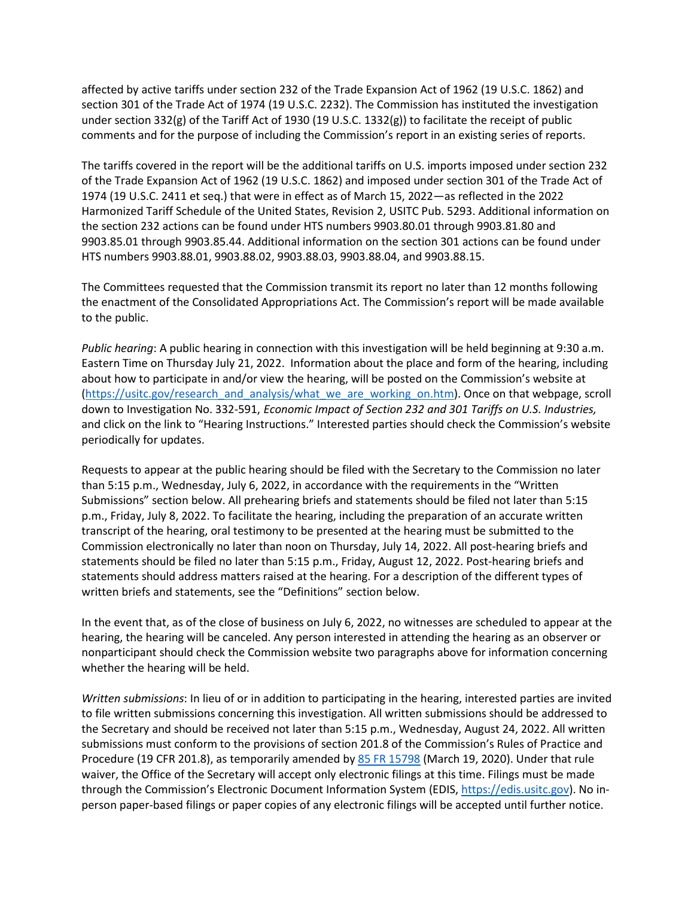affected by active tariffs under section 232 of the Trade Expansion Act of 1962 (19 U.S.C. 1862) and section 301 of the Trade Act of 1974 (19 U.S.C. 2232). The Commission has instituted the investigation under section 332(g) of the Tariff Act of 1930 (19 U.S.C. 1332(g)) to facilitate the receipt of public comments and for the purpose of including the Commission's report in an existing series of reports.

The tariffs covered in the report will be the additional tariffs on U.S. imports imposed under section 232 of the Trade Expansion Act of 1962 (19 U.S.C. 1862) and imposed under section 301 of the Trade Act of 1974 (19 U.S.C. 2411 et seq.) that were in effect as of March 15, 2022—as reflected in the 2022 Harmonized Tariff Schedule of the United States, Revision 2, USITC Pub. 5293. Additional information on the section 232 actions can be found under HTS numbers 9903.80.01 through 9903.81.80 and 9903.85.01 through 9903.85.44. Additional information on the section 301 actions can be found under HTS numbers 9903.88.01, 9903.88.02, 9903.88.03, 9903.88.04, and 9903.88.15.

The Committees requested that the Commission transmit its report no later than 12 months following the enactment of the Consolidated Appropriations Act. The Commission's report will be made available to the public.

*Public hearing*: A public hearing in connection with this investigation will be held beginning at 9:30 a.m. Eastern Time on Thursday July 21, 2022. Information about the place and form of the hearing, including about how to participate in and/or view the hearing, will be posted on the Commission's website at [\(https://usitc.gov/research\\_and\\_analysis/what\\_we\\_are\\_working\\_on.htm\)](https://usitc.gov/research_and_analysis/what_we_are_working_on.htm). Once on that webpage, scroll down to Investigation No. 332-591, *Economic Impact of Section 232 and 301 Tariffs on U.S. Industries,*  and click on the link to "Hearing Instructions." Interested parties should check the Commission's website periodically for updates.

Requests to appear at the public hearing should be filed with the Secretary to the Commission no later than 5:15 p.m., Wednesday, July 6, 2022, in accordance with the requirements in the "Written Submissions" section below. All prehearing briefs and statements should be filed not later than 5:15 p.m., Friday, July 8, 2022. To facilitate the hearing, including the preparation of an accurate written transcript of the hearing, oral testimony to be presented at the hearing must be submitted to the Commission electronically no later than noon on Thursday, July 14, 2022. All post-hearing briefs and statements should be filed no later than 5:15 p.m., Friday, August 12, 2022. Post-hearing briefs and statements should address matters raised at the hearing. For a description of the different types of written briefs and statements, see the "Definitions" section below.

In the event that, as of the close of business on July 6, 2022, no witnesses are scheduled to appear at the hearing, the hearing will be canceled. Any person interested in attending the hearing as an observer or nonparticipant should check the Commission website two paragraphs above for information concerning whether the hearing will be held.

*Written submissions*: In lieu of or in addition to participating in the hearing, interested parties are invited to file written submissions concerning this investigation. All written submissions should be addressed to the Secretary and should be received not later than 5:15 p.m., Wednesday, August 24, 2022. All written submissions must conform to the provisions of section 201.8 of the Commission's Rules of Practice and Procedure (19 CFR 201.8), as temporarily amended by [85 FR 15798](https://www.govinfo.gov/content/pkg/FR-2020-03-19/pdf/2020-05767.pdf) (March 19, 2020). Under that rule waiver, the Office of the Secretary will accept only electronic filings at this time. Filings must be made through the Commission's Electronic Document Information System (EDIS, [https://edis.usitc.gov\)](https://edis.usitc.gov/). No inperson paper-based filings or paper copies of any electronic filings will be accepted until further notice.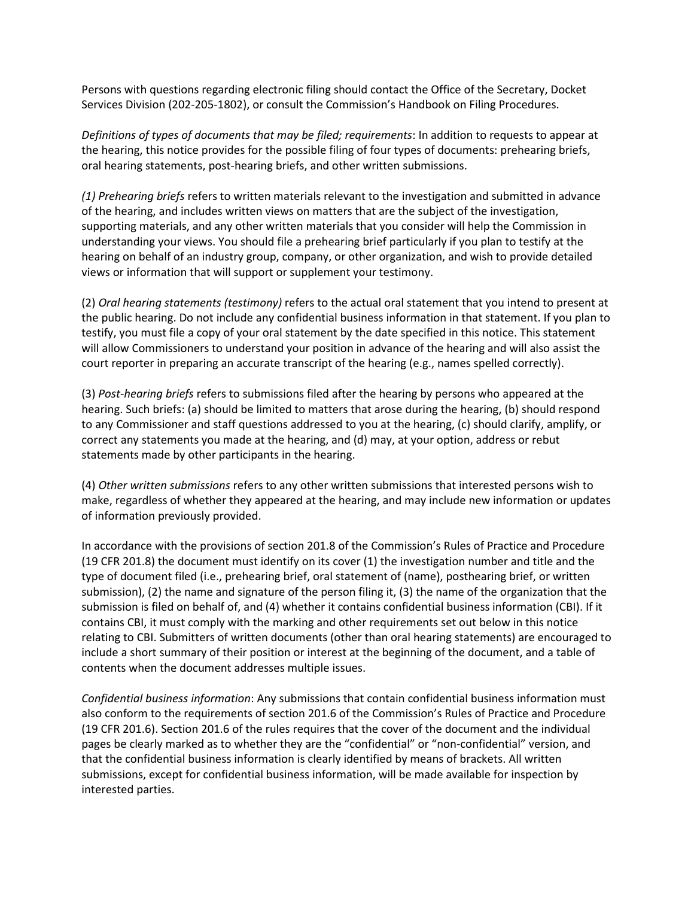Persons with questions regarding electronic filing should contact the Office of the Secretary, Docket Services Division (202-205-1802), or consult the Commission's Handbook on Filing Procedures.

*Definitions of types of documents that may be filed; requirements*: In addition to requests to appear at the hearing, this notice provides for the possible filing of four types of documents: prehearing briefs, oral hearing statements, post-hearing briefs, and other written submissions.

*(1) Prehearing briefs* refers to written materials relevant to the investigation and submitted in advance of the hearing, and includes written views on matters that are the subject of the investigation, supporting materials, and any other written materials that you consider will help the Commission in understanding your views. You should file a prehearing brief particularly if you plan to testify at the hearing on behalf of an industry group, company, or other organization, and wish to provide detailed views or information that will support or supplement your testimony.

(2) *Oral hearing statements (testimony)* refers to the actual oral statement that you intend to present at the public hearing. Do not include any confidential business information in that statement. If you plan to testify, you must file a copy of your oral statement by the date specified in this notice. This statement will allow Commissioners to understand your position in advance of the hearing and will also assist the court reporter in preparing an accurate transcript of the hearing (e.g., names spelled correctly).

(3) *Post-hearing briefs* refers to submissions filed after the hearing by persons who appeared at the hearing. Such briefs: (a) should be limited to matters that arose during the hearing, (b) should respond to any Commissioner and staff questions addressed to you at the hearing, (c) should clarify, amplify, or correct any statements you made at the hearing, and (d) may, at your option, address or rebut statements made by other participants in the hearing.

(4) *Other written submissions* refers to any other written submissions that interested persons wish to make, regardless of whether they appeared at the hearing, and may include new information or updates of information previously provided.

In accordance with the provisions of section 201.8 of the Commission's Rules of Practice and Procedure (19 CFR 201.8) the document must identify on its cover (1) the investigation number and title and the type of document filed (i.e., prehearing brief, oral statement of (name), posthearing brief, or written submission), (2) the name and signature of the person filing it, (3) the name of the organization that the submission is filed on behalf of, and (4) whether it contains confidential business information (CBI). If it contains CBI, it must comply with the marking and other requirements set out below in this notice relating to CBI. Submitters of written documents (other than oral hearing statements) are encouraged to include a short summary of their position or interest at the beginning of the document, and a table of contents when the document addresses multiple issues.

*Confidential business information*: Any submissions that contain confidential business information must also conform to the requirements of section 201.6 of the Commission's Rules of Practice and Procedure (19 CFR 201.6). Section 201.6 of the rules requires that the cover of the document and the individual pages be clearly marked as to whether they are the "confidential" or "non-confidential" version, and that the confidential business information is clearly identified by means of brackets. All written submissions, except for confidential business information, will be made available for inspection by interested parties.